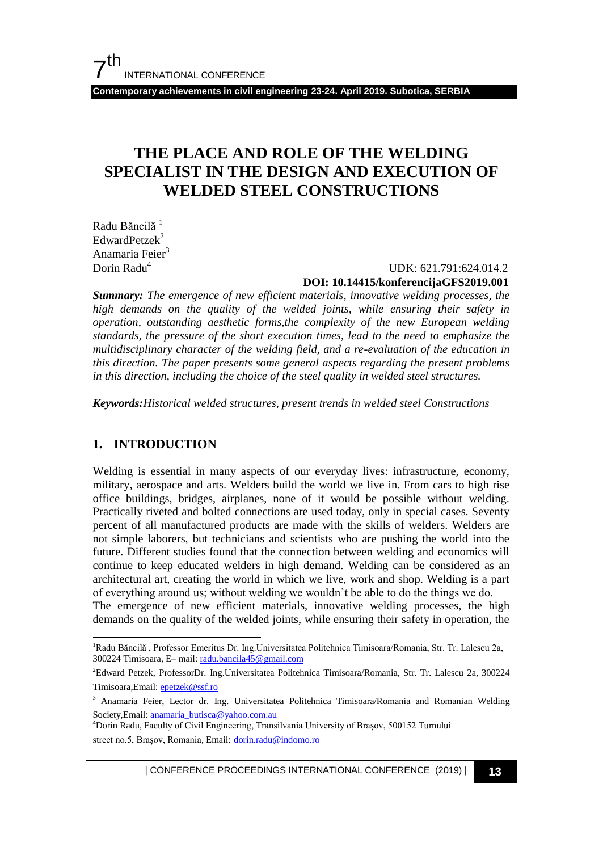**Contemporary achievements in civil engineering 23-24. April 2019. Subotica, SERBIA**

## **THE PLACE AND ROLE OF THE WELDING SPECIALIST IN THE DESIGN AND EXECUTION OF WELDED STEEL CONSTRUCTIONS**

Radu Băncilă<sup>1</sup>  $EdwardPetzek<sup>2</sup>$ Anamaria Feier<sup>3</sup>

#### Dorin Radu<sup>4</sup> UDK: 621.791:624.014.2 **DOI: 10.14415/konferencijaGFS2019.001**

*Summary: The emergence of new efficient materials, innovative welding processes, the high demands on the quality of the welded joints, while ensuring their safety in operation, outstanding aesthetic forms,the complexity of the new European welding standards, the pressure of the short execution times, lead to the need to emphasize the multidisciplinary character of the welding field, and a re-evaluation of the education in this direction. The paper presents some general aspects regarding the present problems in this direction, including the choice of the steel quality in welded steel structures.*

*Keywords:Historical welded structures, present trends in welded steel Constructions*

#### **1. INTRODUCTION**

l

Welding is essential in many aspects of our everyday lives: infrastructure, economy, military, aerospace and arts. Welders build the world we live in. From cars to high rise office buildings, bridges, airplanes, none of it would be possible without welding. Practically riveted and bolted connections are used today, only in special cases. Seventy percent of all manufactured products are made with the skills of welders. Welders are not simple laborers, but technicians and scientists who are pushing the world into the future. Different studies found that the connection between welding and economics will continue to keep educated welders in high demand. Welding can be considered as an architectural art, creating the world in which we live, work and shop. Welding is a part of everything around us; without welding we wouldn"t be able to do the things we do. The emergence of new efficient materials, innovative welding processes, the high demands on the quality of the welded joints, while ensuring their safety in operation, the

<sup>1</sup>Radu Băncilă , Professor Emeritus Dr. Ing.Universitatea Politehnica Timisoara/Romania, Str. Tr. Lalescu 2a, 300224 Timisoara, E– mail[: radu.bancila45@g](mailto:radu.bancila45@)mail.com

<sup>2</sup>Edward Petzek, ProfessorDr. Ing.Universitatea Politehnica Timisoara/Romania, Str. Tr. Lalescu 2a, 300224 Timisoara,Email[: epetzek@ssf.ro](mailto:epetzek@ssf.ro)

<sup>&</sup>lt;sup>3</sup> Anamaria Feier, Lector dr. Ing. Universitatea Politehnica Timisoara/Romania and Romanian Welding Society,Email[: anamaria\\_butisca@yahoo.com.au](mailto:anamaria_butisca@yahoo.com.au)

<sup>4</sup>Dorin Radu, Faculty of Civil Engineering, Transilvania University of Brașov, 500152 Turnului street no.5, Brașov, Romania, Email: [dorin.radu@indomo.ro](mailto:dorin.radu@indomo.ro)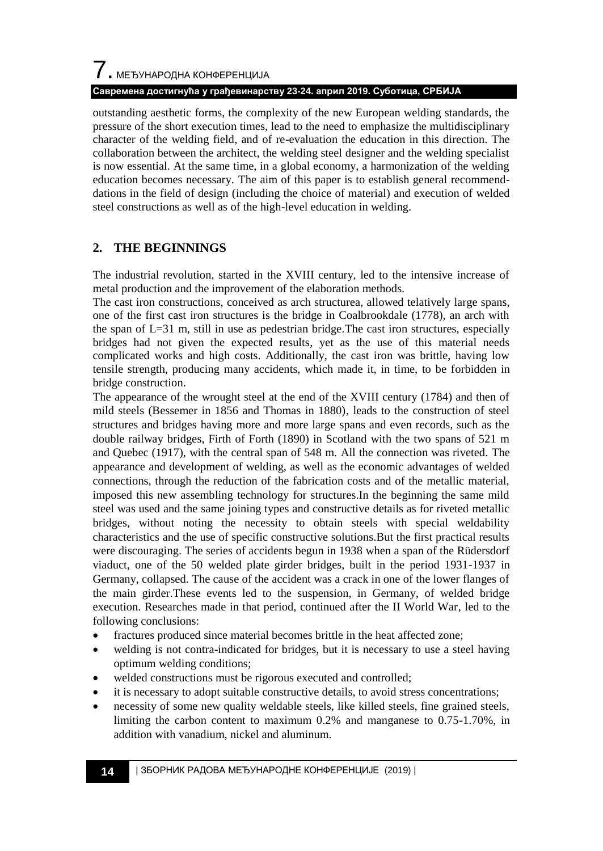# 7. МЕЂУНАРОДНА КОНФЕРЕНЦИЈА **Савремена достигнућа у грађевинарству 23-24. април 2019. Суботица, СРБИЈА**

outstanding aesthetic forms, the complexity of the new European welding standards, the pressure of the short execution times, lead to the need to emphasize the multidisciplinary character of the welding field, and of re-evaluation the education in this direction. The collaboration between the architect, the welding steel designer and the welding specialist is now essential. At the same time, in a global economy, a harmonization of the welding education becomes necessary. The aim of this paper is to establish general recommenddations in the field of design (including the choice of material) and execution of welded steel constructions as well as of the high-level education in welding.

#### **2. THE BEGINNINGS**

The industrial revolution, started in the XVIII century, led to the intensive increase of metal production and the improvement of the elaboration methods.

The cast iron constructions, conceived as arch structurea, allowed telatively large spans, one of the first cast iron structures is the bridge in Coalbrookdale (1778), an arch with the span of  $L=31$  m, still in use as pedestrian bridge. The cast iron structures, especially bridges had not given the expected results, yet as the use of this material needs complicated works and high costs. Additionally, the cast iron was brittle, having low tensile strength, producing many accidents, which made it, in time, to be forbidden in bridge construction.

The appearance of the wrought steel at the end of the XVIII century (1784) and then of mild steels (Bessemer in 1856 and Thomas in 1880), leads to the construction of steel structures and bridges having more and more large spans and even records, such as the double railway bridges, Firth of Forth (1890) in Scotland with the two spans of 521 m and Quebec (1917), with the central span of 548 m. All the connection was riveted. The appearance and development of welding, as well as the economic advantages of welded connections, through the reduction of the fabrication costs and of the metallic material, imposed this new assembling technology for structures.In the beginning the same mild steel was used and the same joining types and constructive details as for riveted metallic bridges, without noting the necessity to obtain steels with special weldability characteristics and the use of specific constructive solutions.But the first practical results were discouraging. The series of accidents begun in 1938 when a span of the Rüdersdorf viaduct, one of the 50 welded plate girder bridges, built in the period 1931-1937 in Germany, collapsed. The cause of the accident was a crack in one of the lower flanges of the main girder.These events led to the suspension, in Germany, of welded bridge execution. Researches made in that period, continued after the II World War, led to the following conclusions:

- fractures produced since material becomes brittle in the heat affected zone;
- welding is not contra-indicated for bridges, but it is necessary to use a steel having optimum welding conditions;
- welded constructions must be rigorous executed and controlled;
- it is necessary to adopt suitable constructive details, to avoid stress concentrations;
- necessity of some new quality weldable steels, like killed steels, fine grained steels, limiting the carbon content to maximum 0.2% and manganese to 0.75-1.70%, in addition with vanadium, nickel and aluminum.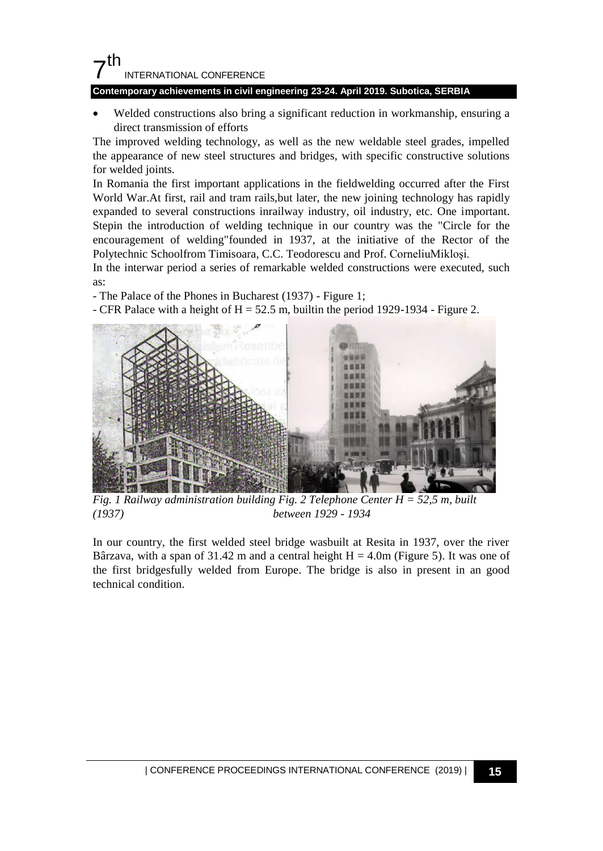#### 7 th INTERNATIONAL CONFERENCE

#### **Contemporary achievements in civil engineering 23-24. April 2019. Subotica, SERBIA**

 Welded constructions also bring a significant reduction in workmanship, ensuring a direct transmission of efforts

The improved welding technology, as well as the new weldable steel grades, impelled the appearance of new steel structures and bridges, with specific constructive solutions for welded joints.

In Romania the first important applications in the fieldwelding occurred after the First World War. At first, rail and tram rails, but later, the new joining technology has rapidly expanded to several constructions inrailway industry, oil industry, etc. One important. Stepin the introduction of welding technique in our country was the "Circle for the encouragement of welding"founded in 1937, at the initiative of the Rector of the Polytechnic Schoolfrom Timisoara, C.C. Teodorescu and Prof. CorneliuMikloşi.

In the interwar period a series of remarkable welded constructions were executed, such as:

- The Palace of the Phones in Bucharest (1937) - Figure 1;

- CFR Palace with a height of  $H = 52.5$  m, builtin the period 1929-1934 - Figure 2.



*Fig. 1 Railway administration building Fig. 2 Telephone Center H = 52,5 m, built (1937) between 1929 - 1934*

In our country, the first welded steel bridge wasbuilt at Resita in 1937, over the river Bârzava, with a span of 31.42 m and a central height  $H = 4.0m$  (Figure 5). It was one of the first bridgesfully welded from Europe. The bridge is also in present in an good technical condition.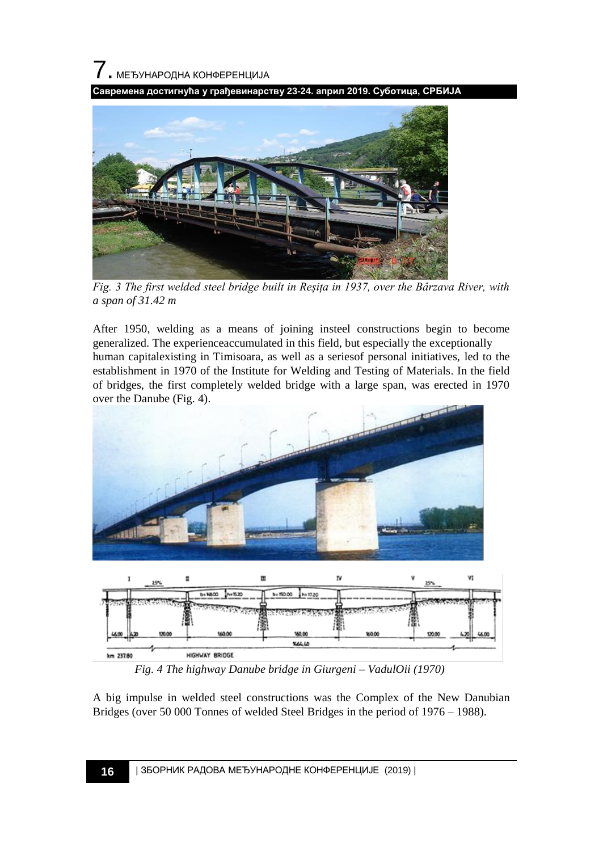7. МЕЂУНАРОДНА КОНФЕРЕНЦИЈА

**Савремена достигнућа у грађевинарству 23-24. април 2019. Суботица, СРБИЈА**



*Fig. 3 The first welded steel bridge built in Reșița in 1937, over the Bârzava River, with a span of 31.42 m*

After 1950, welding as a means of joining insteel constructions begin to become generalized. The experienceaccumulated in this field, but especially the exceptionally human capitalexisting in Timisoara, as well as a seriesof personal initiatives, led to the establishment in 1970 of the Institute for Welding and Testing of Materials. In the field of bridges, the first completely welded bridge with a large span, was erected in 1970 over the Danube (Fig. 4).



A big impulse in welded steel constructions was the Complex of the New Danubian Bridges (over 50 000 Tonnes of welded Steel Bridges in the period of 1976 – 1988).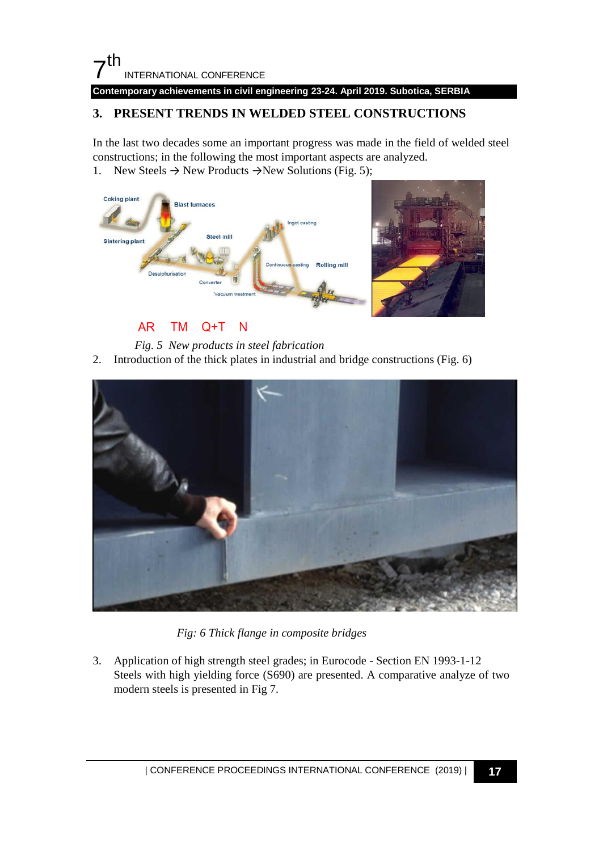#### $7<sup>th</sup>$ INTERNATIONAL CONFERENCE **Contemporary achievements in civil engineering 23-24. April 2019. Subotica, SERBIA**

### **3. PRESENT TRENDS IN WELDED STEEL CONSTRUCTIONS**

In the last two decades some an important progress was made in the field of welded steel constructions; in the following the most important aspects are analyzed.

1. New Steels  $\rightarrow$  New Products  $\rightarrow$  New Solutions (Fig. 5);



#### **AR TM**  $Q+T$ N

- *Fig. 5 New products in steel fabrication*
- 2. Introduction of the thick plates in industrial and bridge constructions (Fig. 6)



*Fig: 6 Thick flange in composite bridges* 

3. Application of high strength steel grades; in Eurocode - Section EN 1993-1-12 Steels with high yielding force (S690) are presented. A comparative analyze of two modern steels is presented in Fig 7.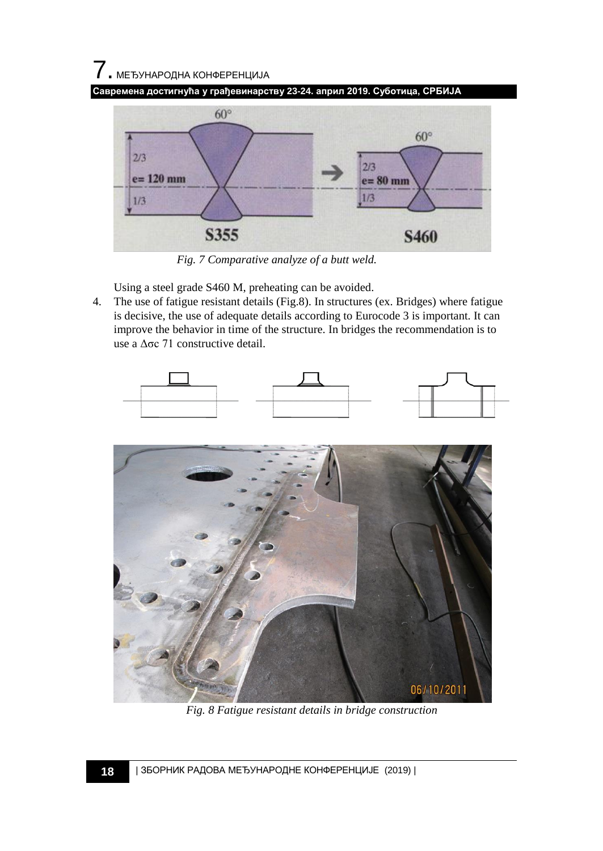# $\overline{7}$ . МЕЂУНАРОДНА КОНФЕРЕНЦИЈА





*Fig. 7 Comparative analyze of a butt weld.* 

Using a steel grade S460 M, preheating can be avoided.

4. The use of fatigue resistant details (Fig.8). In structures (ex. Bridges) where fatigue is decisive, the use of adequate details according to Eurocode 3 is important. It can improve the behavior in time of the structure. In bridges the recommendation is to use a Δσc 71 constructive detail.





*Fig. 8 Fatigue resistant details in bridge construction*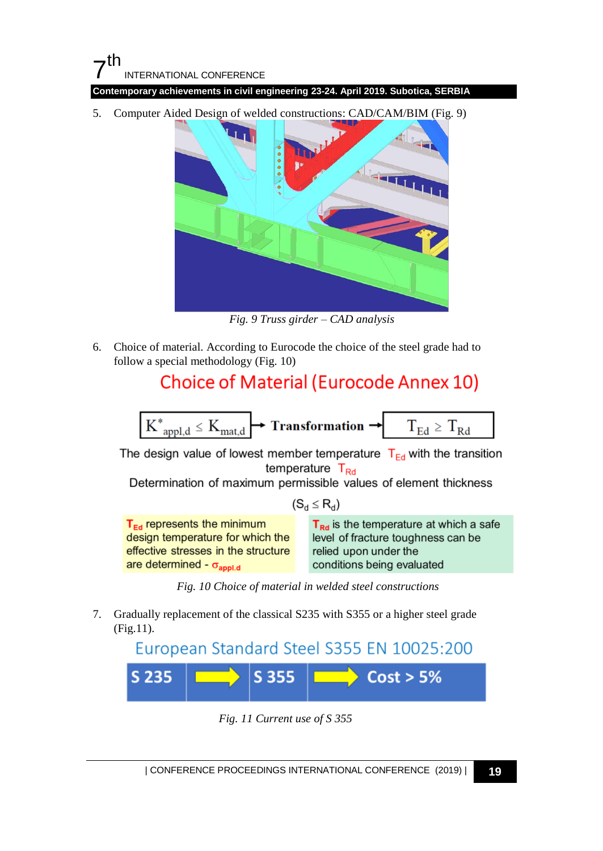**Contemporary achievements in civil engineering 23-24. April 2019. Subotica, SERBIA**

5. Computer Aided Design of welded constructions: CAD/CAM/BIM (Fig. 9)



*Fig. 9 Truss girder – CAD analysis* 

6. Choice of material. According to Eurocode the choice of the steel grade had to follow a special methodology (Fig. 10)

# **Choice of Material (Eurocode Annex 10)**



The design value of lowest member temperature  $T_{Ed}$  with the transition temperature T<sub>Rd</sub>

Determination of maximum permissible values of element thickness

 $(S_d \leq R_d)$ 

 $T_{Ed}$  represents the minimum design temperature for which the effective stresses in the structure are determined -  $\sigma_{\text{appl.d}}$ 

 $T_{\text{Rd}}$  is the temperature at which a safe level of fracture toughness can be relied upon under the conditions being evaluated

*Fig. 10 Choice of material in welded steel constructions* 

7. Gradually replacement of the classical S235 with S355 or a higher steel grade (Fig.11).

European Standard Steel S355 EN 10025:200  $\Rightarrow$  Cost > 5% S 355 S 235

*Fig. 11 Current use of S 355*